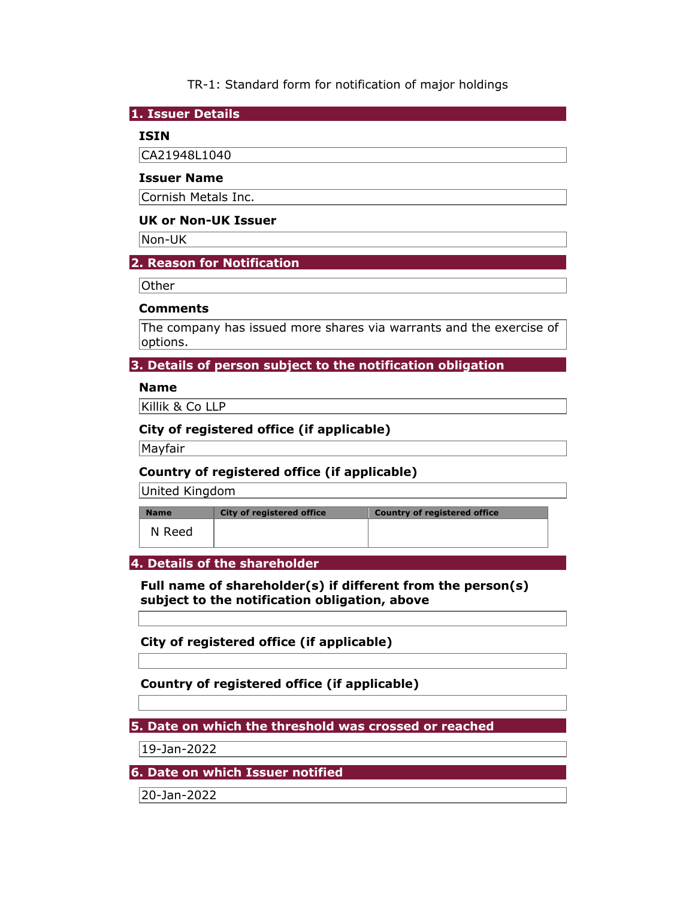# TR-1: Standard form for notification of major holdings

#### **1. Issuer Details**

# **ISIN**

CA21948L1040

#### **Issuer Name**

Cornish Metals Inc.

### **UK or Non-UK Issuer**

Non-UK

# **2. Reason for Notification**

Other

#### **Comments**

The company has issued more shares via warrants and the exercise of options.

# **3. Details of person subject to the notification obligation**

#### **Name**

Killik & Co LLP

# **City of registered office (if applicable)**

Mayfair

# **Country of registered office (if applicable)**

United Kingdom

| <b>Name</b> | <b>City of registered office</b> | <b>Country of registered office</b> |
|-------------|----------------------------------|-------------------------------------|
| N Reed      |                                  |                                     |

### **4. Details of the shareholder**

**Full name of shareholder(s) if different from the person(s) subject to the notification obligation, above** 

**City of registered office (if applicable)** 

**Country of registered office (if applicable)** 

**5. Date on which the threshold was crossed or reached** 

19-Jan-2022

**6. Date on which Issuer notified** 

20-Jan-2022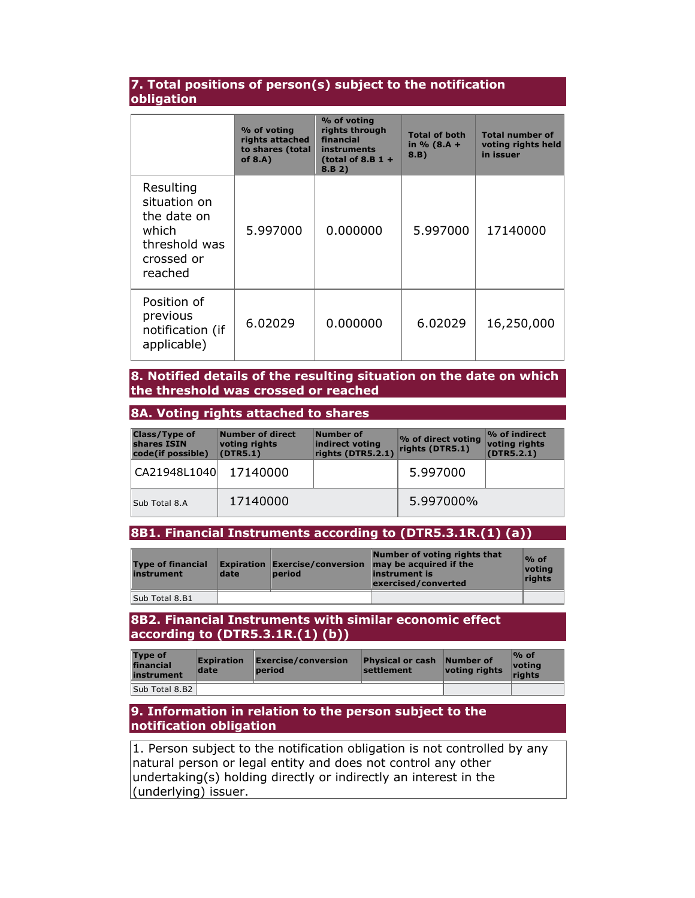## **7. Total positions of person(s) subject to the notification obligation**

|                                                                                             | % of voting<br>rights attached<br>to shares (total<br>of $8.A$ ) | % of voting<br>rights through<br>financial<br>instruments<br>(total of 8.B $1 +$<br>8.B 2) | <b>Total of both</b><br>in $% (8.A +$<br>8.B) | <b>Total number of</b><br>voting rights held<br>in issuer |
|---------------------------------------------------------------------------------------------|------------------------------------------------------------------|--------------------------------------------------------------------------------------------|-----------------------------------------------|-----------------------------------------------------------|
| Resulting<br>situation on<br>the date on<br>which<br>threshold was<br>crossed or<br>reached | 5.997000                                                         | 0.000000                                                                                   | 5.997000                                      | 17140000                                                  |
| Position of<br>previous<br>notification (if<br>applicable)                                  | 6.02029                                                          | 0.000000                                                                                   | 6.02029                                       | 16,250,000                                                |

### **8. Notified details of the resulting situation on the date on which the threshold was crossed or reached**

#### **8A. Voting rights attached to shares**

| <b>Class/Type of</b><br>shares ISIN<br>code(if possible) | Number of direct<br>voting rights<br>(DTR5.1) | Number of<br>indirect voting<br>rights (DTR5.2.1) | % of direct voting<br>rights (DTR5.1) | $\%$ of indirect<br>voting rights<br>(DTR5.2.1) |
|----------------------------------------------------------|-----------------------------------------------|---------------------------------------------------|---------------------------------------|-------------------------------------------------|
| CA21948L1040                                             | 17140000                                      |                                                   | 5.997000                              |                                                 |
| Sub Total 8.A                                            | 17140000                                      |                                                   | 5.997000%                             |                                                 |

### **8B1. Financial Instruments according to (DTR5.3.1R.(1) (a))**

| <b>Type of financial</b><br>instrument | date | <b>Expiration Exercise/conversion</b><br><b>period</b> | Number of voting rights that<br>may be acquired if the<br>instrument is<br>exercised/converted | $%$ of<br>votina<br>rights |
|----------------------------------------|------|--------------------------------------------------------|------------------------------------------------------------------------------------------------|----------------------------|
| Sub Total 8.B1                         |      |                                                        |                                                                                                |                            |

#### **8B2. Financial Instruments with similar economic effect according to (DTR5.3.1R.(1) (b))**

| <b>Type of</b><br>financial<br>instrument | <b>Expiration</b><br>date | Exercise/conversion<br>period | <b>Physical or cash</b><br>settlement | Number of<br>voting rights | $%$ of<br>votina<br>riahts |
|-------------------------------------------|---------------------------|-------------------------------|---------------------------------------|----------------------------|----------------------------|
| Sub Total 8.B2                            |                           |                               |                                       |                            |                            |

### **9. Information in relation to the person subject to the notification obligation**

1. Person subject to the notification obligation is not controlled by any natural person or legal entity and does not control any other undertaking(s) holding directly or indirectly an interest in the (underlying) issuer.